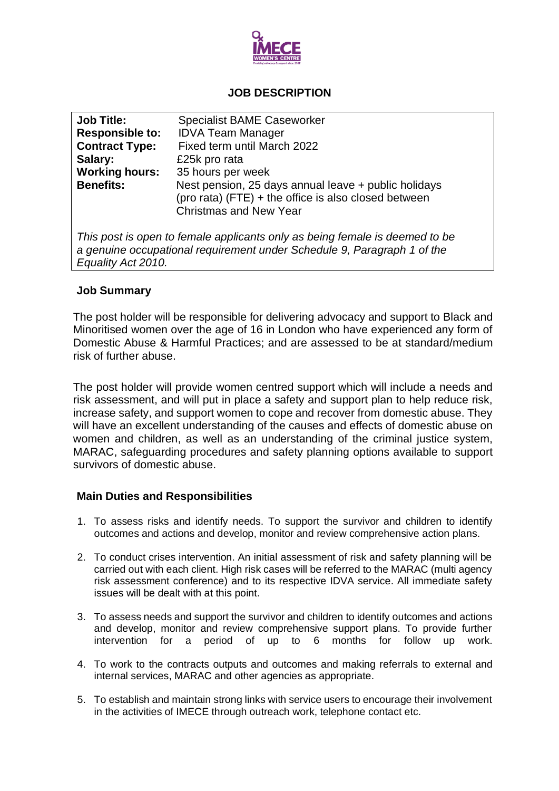

# **JOB DESCRIPTION**

| <b>Job Title:</b>                                                                                                                                                            | <b>Specialist BAME Caseworker</b>                                                                                                                      |  |  |  |
|------------------------------------------------------------------------------------------------------------------------------------------------------------------------------|--------------------------------------------------------------------------------------------------------------------------------------------------------|--|--|--|
|                                                                                                                                                                              |                                                                                                                                                        |  |  |  |
| <b>Responsible to:</b>                                                                                                                                                       | <b>IDVA Team Manager</b>                                                                                                                               |  |  |  |
| <b>Contract Type:</b>                                                                                                                                                        | Fixed term until March 2022                                                                                                                            |  |  |  |
| Salary:                                                                                                                                                                      | £25k pro rata                                                                                                                                          |  |  |  |
| <b>Working hours:</b>                                                                                                                                                        | 35 hours per week                                                                                                                                      |  |  |  |
| <b>Benefits:</b>                                                                                                                                                             | Nest pension, 25 days annual leave + public holidays<br>$(\text{pro rata})$ (FTE) + the office is also closed between<br><b>Christmas and New Year</b> |  |  |  |
| This post is open to female applicants only as being female is deemed to be<br>a genuine occupational requirement under Schedule 9, Paragraph 1 of the<br>Equality Act 2010. |                                                                                                                                                        |  |  |  |

# **Job Summary**

The post holder will be responsible for delivering advocacy and support to Black and Minoritised women over the age of 16 in London who have experienced any form of Domestic Abuse & Harmful Practices; and are assessed to be at standard/medium risk of further abuse.

The post holder will provide women centred support which will include a needs and risk assessment, and will put in place a safety and support plan to help reduce risk, increase safety, and support women to cope and recover from domestic abuse. They will have an excellent understanding of the causes and effects of domestic abuse on women and children, as well as an understanding of the criminal justice system, MARAC, safeguarding procedures and safety planning options available to support survivors of domestic abuse.

### **Main Duties and Responsibilities**

- 1. To assess risks and identify needs. To support the survivor and children to identify outcomes and actions and develop, monitor and review comprehensive action plans.
- 2. To conduct crises intervention. An initial assessment of risk and safety planning will be carried out with each client. High risk cases will be referred to the MARAC (multi agency risk assessment conference) and to its respective IDVA service. All immediate safety issues will be dealt with at this point.
- 3. To assess needs and support the survivor and children to identify outcomes and actions and develop, monitor and review comprehensive support plans. To provide further intervention for a period of up to 6 months for follow up work.
- 4. To work to the contracts outputs and outcomes and making referrals to external and internal services, MARAC and other agencies as appropriate.
- 5. To establish and maintain strong links with service users to encourage their involvement in the activities of IMECE through outreach work, telephone contact etc.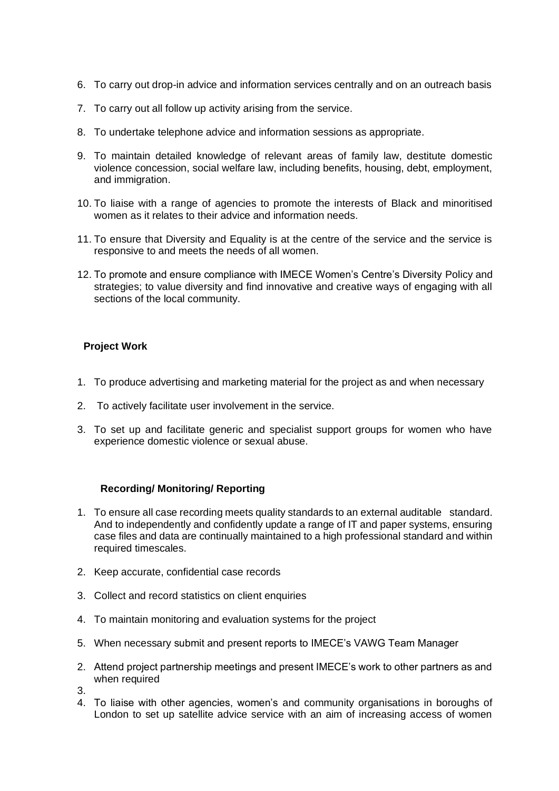- 6. To carry out drop-in advice and information services centrally and on an outreach basis
- 7. To carry out all follow up activity arising from the service.
- 8. To undertake telephone advice and information sessions as appropriate.
- 9. To maintain detailed knowledge of relevant areas of family law, destitute domestic violence concession, social welfare law, including benefits, housing, debt, employment, and immigration.
- 10. To liaise with a range of agencies to promote the interests of Black and minoritised women as it relates to their advice and information needs.
- 11. To ensure that Diversity and Equality is at the centre of the service and the service is responsive to and meets the needs of all women.
- 12. To promote and ensure compliance with IMECE Women's Centre's Diversity Policy and strategies; to value diversity and find innovative and creative ways of engaging with all sections of the local community.

# **Project Work**

- 1. To produce advertising and marketing material for the project as and when necessary
- 2. To actively facilitate user involvement in the service.
- 3. To set up and facilitate generic and specialist support groups for women who have experience domestic violence or sexual abuse.

### **Recording/ Monitoring/ Reporting**

- 1. To ensure all case recording meets quality standards to an external auditable standard. And to independently and confidently update a range of IT and paper systems, ensuring case files and data are continually maintained to a high professional standard and within required timescales.
- 2. Keep accurate, confidential case records
- 3. Collect and record statistics on client enquiries
- 4. To maintain monitoring and evaluation systems for the project
- 5. When necessary submit and present reports to IMECE's VAWG Team Manager
- 2. Attend project partnership meetings and present IMECE's work to other partners as and when required
- 3.
- 4. To liaise with other agencies, women's and community organisations in boroughs of London to set up satellite advice service with an aim of increasing access of women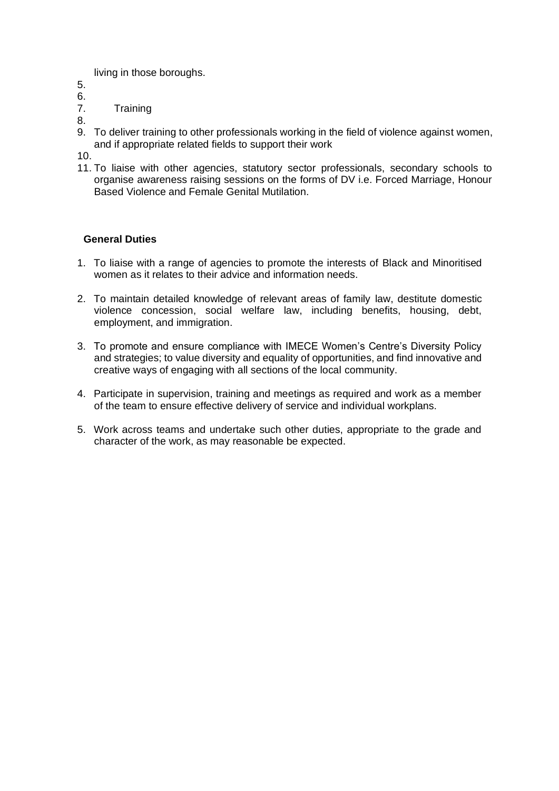living in those boroughs.

5. 6.

- 7. Training
- 8.
- 9. To deliver training to other professionals working in the field of violence against women, and if appropriate related fields to support their work
- 10.
- 11. To liaise with other agencies, statutory sector professionals, secondary schools to organise awareness raising sessions on the forms of DV i.e. Forced Marriage, Honour Based Violence and Female Genital Mutilation.

### **General Duties**

- 1. To liaise with a range of agencies to promote the interests of Black and Minoritised women as it relates to their advice and information needs.
- 2. To maintain detailed knowledge of relevant areas of family law, destitute domestic violence concession, social welfare law, including benefits, housing, debt, employment, and immigration.
- 3. To promote and ensure compliance with IMECE Women's Centre's Diversity Policy and strategies; to value diversity and equality of opportunities, and find innovative and creative ways of engaging with all sections of the local community.
- 4. Participate in supervision, training and meetings as required and work as a member of the team to ensure effective delivery of service and individual workplans.
- 5. Work across teams and undertake such other duties, appropriate to the grade and character of the work, as may reasonable be expected.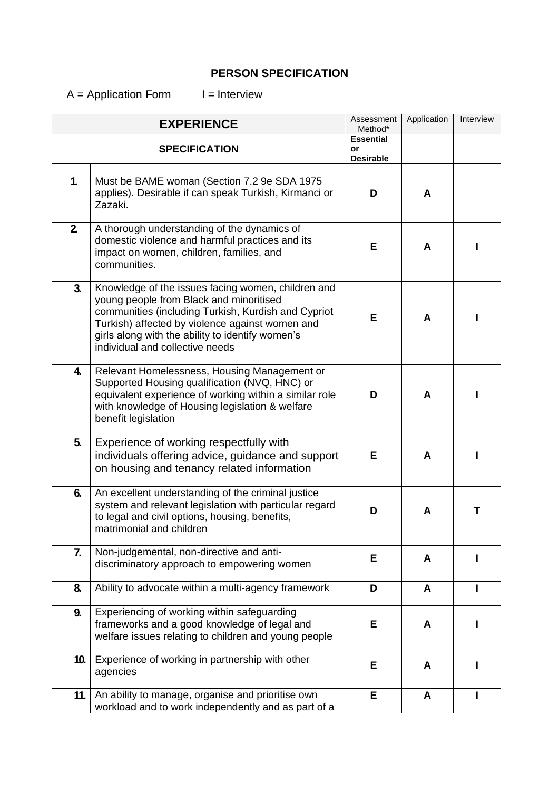# **PERSON SPECIFICATION**

 $A =$  Application Form  $I =$  Interview

| <b>EXPERIENCE</b>    |                                                                                                                                                                                                                                                                                                | Assessment<br>Method*                      | Application | Interview    |
|----------------------|------------------------------------------------------------------------------------------------------------------------------------------------------------------------------------------------------------------------------------------------------------------------------------------------|--------------------------------------------|-------------|--------------|
| <b>SPECIFICATION</b> |                                                                                                                                                                                                                                                                                                | <b>Essential</b><br>or<br><b>Desirable</b> |             |              |
| $\mathbf{1}$         | Must be BAME woman (Section 7.2 9e SDA 1975<br>applies). Desirable if can speak Turkish, Kirmanci or<br>Zazaki.                                                                                                                                                                                | D                                          | A           |              |
| 2 <sub>1</sub>       | A thorough understanding of the dynamics of<br>domestic violence and harmful practices and its<br>impact on women, children, families, and<br>communities.                                                                                                                                     | E                                          | A           |              |
| 3.                   | Knowledge of the issues facing women, children and<br>young people from Black and minoritised<br>communities (including Turkish, Kurdish and Cypriot<br>Turkish) affected by violence against women and<br>girls along with the ability to identify women's<br>individual and collective needs | Е                                          | A           | ı            |
| 4.                   | Relevant Homelessness, Housing Management or<br>Supported Housing qualification (NVQ, HNC) or<br>equivalent experience of working within a similar role<br>with knowledge of Housing legislation & welfare<br>benefit legislation                                                              | D                                          | A           | ı            |
| 5.                   | Experience of working respectfully with<br>individuals offering advice, guidance and support<br>on housing and tenancy related information                                                                                                                                                     | Е                                          | A           |              |
| 6.                   | An excellent understanding of the criminal justice<br>system and relevant legislation with particular regard<br>to legal and civil options, housing, benefits,<br>matrimonial and children                                                                                                     | D                                          | A           | Τ            |
| 7.                   | Non-judgemental, non-directive and anti-<br>discriminatory approach to empowering women                                                                                                                                                                                                        | Е                                          | A           | ı            |
| 8.                   | Ability to advocate within a multi-agency framework                                                                                                                                                                                                                                            | D                                          | A           | ı            |
| 9.                   | Experiencing of working within safeguarding<br>frameworks and a good knowledge of legal and<br>welfare issues relating to children and young people                                                                                                                                            | Е                                          | A           |              |
| 10.                  | Experience of working in partnership with other<br>agencies                                                                                                                                                                                                                                    | Е                                          | A           |              |
| 11.                  | An ability to manage, organise and prioritise own<br>workload and to work independently and as part of a                                                                                                                                                                                       | Е                                          | A           | $\mathbf{I}$ |